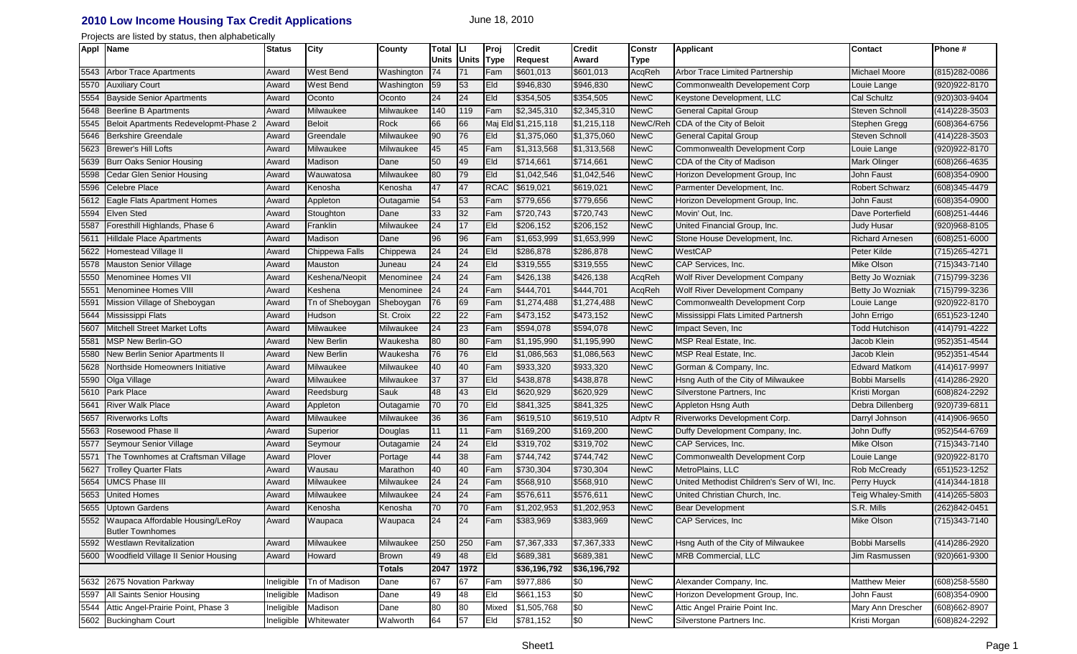## **2010 Low Income Housing Tax Credit Applications** June 18, 2010

Projects are listed by status, then alphabetically

|      | Appl Name                                                        | <b>Status</b> | <b>City</b>       | County           | Total        | IЫ           | Proj        | <b>Credit</b>       | <b>Credit</b> | <b>Constr</b> | <b>Applicant</b>                             | <b>Contact</b>         | Phone#            |
|------|------------------------------------------------------------------|---------------|-------------------|------------------|--------------|--------------|-------------|---------------------|---------------|---------------|----------------------------------------------|------------------------|-------------------|
|      |                                                                  |               |                   |                  | <b>Units</b> | <b>Units</b> | <b>Type</b> | <b>Request</b>      | Award         | <b>Type</b>   |                                              |                        |                   |
| 5543 | <b>Arbor Trace Apartments</b>                                    | Award         | West Bend         | Washington       | 74           | 71           | Fam         | \$601,013           | \$601,013     | AcqReh        | Arbor Trace Limited Partnership              | <b>Michael Moore</b>   | (815) 282-0086    |
| 5570 | <b>Auxiliary Court</b>                                           | Award         | <b>West Bend</b>  | Washington       | 59           | 53           | Eld         | \$946,830           | \$946,830     | <b>NewC</b>   | Commonwealth Developement Corp               | Louie Lange            | (920) 922-8170    |
| 5554 | <b>Bayside Senior Apartments</b>                                 | Award         | Oconto            | Oconto           | 24           | 24           | Eld         | \$354,505           | \$354,505     | <b>NewC</b>   | Keystone Development, LLC                    | <b>Cal Schultz</b>     | (920)303-9404     |
| 5648 | <b>Beerline B Apartments</b>                                     | Award         | Milwaukee         | Milwaukee        | 140          | 119          | Fam         | \$2,345,310         | \$2,345,310   | <b>NewC</b>   | <b>General Capital Group</b>                 | <b>Steven Schnoll</b>  | (414) 228-3503    |
| 5545 | Beloit Apartments Redevelopmt-Phase 2                            | Award         | <b>Beloit</b>     | Rock             | 66           | 66           |             | Maj Eld \$1,215,118 | \$1,215,118   | NewC/Reh      | CDA of the City of Beloit                    | Stephen Gregg          | (608)364-6756     |
| 5646 | <b>Berkshire Greendale</b>                                       | Award         | Greendale         | Milwaukee        | 90           | 76           | Eld         | \$1,375,060         | \$1,375,060   | <b>NewC</b>   | <b>General Capital Group</b>                 | <b>Steven Schnoll</b>  | (414) 228-3503    |
| 5623 | <b>Brewer's Hill Lofts</b>                                       | Award         | Milwaukee         | <b>Milwaukee</b> | 45           | 45           | Fam         | \$1,313,568         | \$1,313,568   | <b>NewC</b>   | Commonwealth Development Corp                | Louie Lange            | (920) 922-8170    |
| 5639 | <b>Burr Oaks Senior Housing</b>                                  | Award         | Madison           | Dane             | 50           | 49           | Eld         | \$714,661           | \$714,661     | <b>NewC</b>   | CDA of the City of Madison                   | Mark Olinger           | (608)266-4635     |
| 5598 | <b>Cedar Glen Senior Housing</b>                                 | Award         | Wauwatosa         | Milwaukee        | 80           | 79           | Eld         | \$1,042,546         | \$1,042,546   | <b>NewC</b>   | Horizon Development Group, Inc               | John Faust             | (608)354-0900     |
| 5596 | <b>Celebre Place</b>                                             | Award         | Kenosha           | Kenosha          | 47           | 47           | <b>RCAC</b> | \$619,021           | \$619,021     | <b>NewC</b>   | Parmenter Development, Inc.                  | <b>Robert Schwarz</b>  | (608)345-4479     |
| 5612 | <b>Eagle Flats Apartment Homes</b>                               | Award         | Appleton          | Outagamie        | 54           | 53           | Fam         | \$779,656           | \$779,656     | <b>NewC</b>   | Horizon Development Group, Inc.              | John Faust             | (608)354-0900     |
| 5594 | <b>Elven Sted</b>                                                | Award         | Stoughton         | Dane             | 33           | 32           | Fam         | \$720,743           | \$720,743     | <b>NewC</b>   | Movin' Out, Inc.                             | Dave Porterfield       | (608)251-4446     |
| 5587 | Foresthill Highlands, Phase 6                                    | Award         | Franklin          | Milwaukee        | 24           | 17           | Eld         | \$206,152           | \$206,152     | <b>NewC</b>   | United Financial Group, Inc.                 | <b>Judy Husar</b>      | (920)968-8105     |
| 5611 | <b>Hilldale Place Apartments</b>                                 | Award         | Madison           | Dane             | 96           | 96           | Fam         | \$1,653,999         | \$1,653,999   | <b>NewC</b>   | Stone House Development, Inc.                | <b>Richard Arnesen</b> | $(608)251 - 6000$ |
| 5622 | Homestead Village II                                             | Award         | Chippewa Falls    | Chippewa         | 24           | 24           | Eld         | \$286,878           | \$286,878     | <b>NewC</b>   | WestCAP                                      | Peter Kilde            | (715) 265-4271    |
| 5578 | Mauston Senior Village                                           | Award         | Mauston           | Juneau           | 24           | 24           | Eld         | \$319,555           | \$319,555     | <b>NewC</b>   | CAP Services, Inc.                           | Mike Olson             | (715) 343-7140    |
| 5550 | Menominee Homes VII                                              | Award         | Keshena/Neopit    | Menominee        | 24           | 24           | Fam         | \$426,138           | \$426,138     | AcqReh        | <b>Wolf River Development Company</b>        | Betty Jo Wozniak       | (715) 799-3236    |
| 5551 | <b>Menominee Homes VIII</b>                                      | Award         | Keshena           | Menominee        | 24           | 24           | Fam         | \$444,701           | \$444,701     | AcqReh        | <b>Wolf River Development Company</b>        | Betty Jo Wozniak       | (715) 799-3236    |
| 5591 | Mission Village of Sheboygan                                     | Award         | Tn of Sheboygan   | Sheboygan        | 76           | 69           | Fam         | \$1,274,488         | \$1,274,488   | <b>NewC</b>   | Commonwealth Development Corp                | Louie Lange            | (920) 922-8170    |
| 5644 | Mississippi Flats                                                | Award         | Hudson            | St. Croix        | 22           | 22           | Fam         | \$473,152           | \$473,152     | <b>NewC</b>   | Mississippi Flats Limited Partnersh          | John Errigo            | (651) 523-1240    |
| 5607 | Mitchell Street Market Lofts                                     | Award         | Milwaukee         | Milwaukee        | 24           | 23           | Fam         | \$594,078           | \$594,078     | <b>NewC</b>   | Impact Seven, Inc.                           | Todd Hutchison         | (414) 791-4222    |
| 5581 | <b>MSP New Berlin-GO</b>                                         | Award         | <b>New Berlin</b> | Waukesha         | 80           | 80           | Fam         | \$1,195,990         | \$1,195,990   | <b>NewC</b>   | MSP Real Estate, Inc.                        | Jacob Klein            | (952)351-4544     |
| 5580 | <b>New Berlin Senior Apartments II</b>                           | Award         | <b>New Berlin</b> | Waukesha         | 76           | 76           | Eld         | \$1,086,563         | \$1,086,563   | <b>NewC</b>   | MSP Real Estate, Inc.                        | Jacob Klein            | (952)351-4544     |
| 5628 | Northside Homeowners Initiative                                  | Award         | Milwaukee         | Milwaukee        | 40           | 40           | Fam         | \$933,320           | \$933,320     | <b>NewC</b>   | Gorman & Company, Inc.                       | <b>Edward Matkom</b>   | (414) 617-9997    |
| 5590 | Olga Village                                                     | Award         | Milwaukee         | Milwaukee        | 37           | 37           | Eld         | \$438,878           | \$438,878     | <b>NewC</b>   | Hsng Auth of the City of Milwaukee           | <b>Bobbi Marsells</b>  | (414) 286-2920    |
| 5610 | Park Place                                                       | Award         | Reedsburg         | Sauk             | 48           | 43           | Eld         | \$620,929           | \$620,929     | <b>NewC</b>   | Silverstone Partners, Inc.                   | Kristi Morgan          | (608)824-2292     |
| 5641 | <b>River Walk Place</b>                                          | Award         | Appleton          | Outagamie        | 70           | 70           | Eld         | \$841,325           | \$841,325     | <b>NewC</b>   | Appleton Hsng Auth                           | Debra Dillenberg       | (920)739-6811     |
| 5657 | <b>Riverworks Lofts</b>                                          | Award         | Milwaukee         | Milwaukee        | 36           | 36           | Fam         | \$619,510           | \$619,510     | Adptv R       | Riverworks Development Corp.                 | Darryl Johnson         | (414)906-9650     |
| 5563 | Rosewood Phase II                                                | Award         | Superior          | Douglas          | 11           | 11           | Fam         | \$169,200           | \$169,200     | <b>NewC</b>   | Duffy Development Company, Inc.              | John Duffy             | (952)544-6769     |
| 5577 | Seymour Senior Village                                           | Award         | Seymour           | Outagamie        | 24           | 24           | Eld         | \$319,702           | \$319,702     | <b>NewC</b>   | CAP Services, Inc.                           | Mike Olson             | (715) 343-7140    |
| 5571 | The Townhomes at Craftsman Village                               | Award         | Plover            | Portage          | 44           | 38           | Fam         | \$744,742           | \$744,742     | <b>NewC</b>   | Commonwealth Development Corp                | Louie Lange            | (920) 922-8170    |
| 5627 | Trolley Quarter Flats                                            | Award         | Wausau            | Marathon         | 40           | 40           | Fam         | \$730,304           | \$730,304     | <b>NewC</b>   | MetroPlains, LLC                             | Rob McCready           | (651) 523-1252    |
| 5654 | <b>UMCS Phase III</b>                                            | Award         | Milwaukee         | Milwaukee        | 24           | 24           | Fam         | \$568,910           | \$568,910     | <b>NewC</b>   | United Methodist Children's Serv of WI, Inc. | Perry Huyck            | (414) 344-1818    |
| 5653 | United Homes                                                     | Award         | Milwaukee         | Milwaukee        | 24           | 24           | Fam         | \$576,611           | \$576,611     | <b>NewC</b>   | United Christian Church, Inc.                | Teig Whaley-Smith      | (414) 265-5803    |
| 5655 | <b>Uptown Gardens</b>                                            | Award         | Kenosha           | Kenosha          | 70           | 70           | Fam         | \$1,202,953         | \$1,202,953   | <b>NewC</b>   | <b>Bear Development</b>                      | S.R. Mills             | (262)842-0451     |
|      | 5552 Waupaca Affordable Housing/LeRoy<br><b>Butler Townhomes</b> | Award         | Waupaca           | Waupaca          | 24           | 24           | Fam         | \$383,969           | \$383,969     | <b>NewC</b>   | <b>CAP Services, Inc.</b>                    | <b>Mike Olson</b>      | (715) 343-7140    |
| 5592 | <b>Westlawn Revitalization</b>                                   | Award         | Milwaukee         | Milwaukee        | 250          | 250          | Fam         | \$7,367,333         | \$7,367,333   | <b>NewC</b>   | Hsng Auth of the City of Milwaukee           | <b>Bobbi Marsells</b>  | (414) 286-2920    |
|      | 5600 Woodfield Village II Senior Housing                         | Award         | Howard            | <b>Brown</b>     | 49           | 48           | Eld         | \$689,381           | \$689,381     | <b>NewC</b>   | <b>MRB Commercial, LLC</b>                   | Jim Rasmussen          | (920)661-9300     |
|      |                                                                  |               |                   | <b>Totals</b>    | 2047         | 1972         |             | \$36,196,792        | \$36,196,792  |               |                                              |                        |                   |
|      | 5632 2675 Novation Parkway                                       | Ineligible    | Tn of Madison     | Dane             | 67           | 67           | Fam         | \$977,886           | \$0           | <b>NewC</b>   | Alexander Company, Inc.                      | <b>Matthew Meier</b>   | $(608)258 - 5580$ |
| 5597 | All Saints Senior Housing                                        | Ineligible    | Madison           | Dane             | 49           | 48           | Eld         | \$661,153           | \$0           | <b>NewC</b>   | Horizon Development Group, Inc.              | John Faust             | $(608)354 - 0900$ |
|      | 5544 Attic Angel-Prairie Point, Phase 3                          | Ineligible    | Madison           | Dane             | 80           | 80           | Mixed       | \$1,505,768         | \$0           | <b>NewC</b>   | Attic Angel Prairie Point Inc.               | Mary Ann Drescher      | (608) 662-8907    |
|      | 5602 Buckingham Court                                            | Ineligible    | Whitewater        | Walworth         | 64           | 57           | Eld         | \$781,152           | \$0           | <b>NewC</b>   | Silverstone Partners Inc.                    | Kristi Morgan          | (608) 824-2292    |